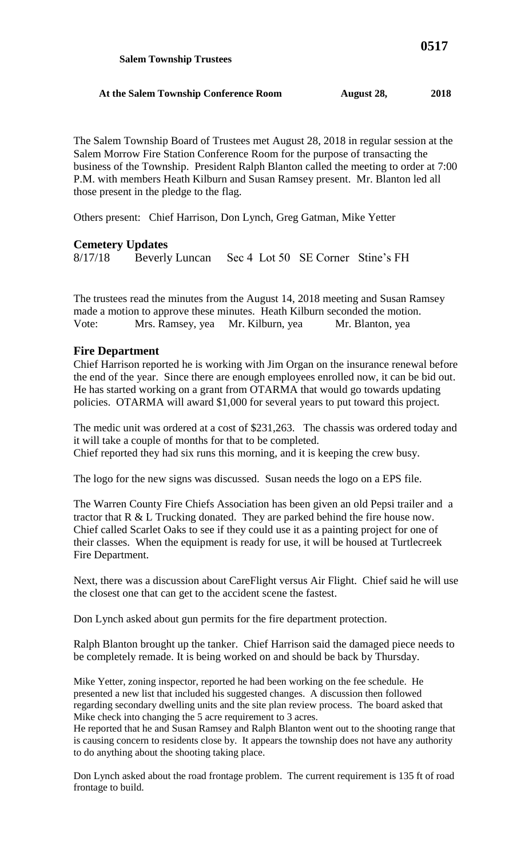The Salem Township Board of Trustees met August 28, 2018 in regular session at the Salem Morrow Fire Station Conference Room for the purpose of transacting the business of the Township. President Ralph Blanton called the meeting to order at 7:00 P.M. with members Heath Kilburn and Susan Ramsey present. Mr. Blanton led all those present in the pledge to the flag.

Others present: Chief Harrison, Don Lynch, Greg Gatman, Mike Yetter

## **Cemetery Updates**

8/17/18 Beverly Luncan Sec 4 Lot 50 SE Corner Stine's FH

The trustees read the minutes from the August 14, 2018 meeting and Susan Ramsey made a motion to approve these minutes. Heath Kilburn seconded the motion. Vote: Mrs. Ramsey, yea Mr. Kilburn, yea Mr. Blanton, yea

## **Fire Department**

Chief Harrison reported he is working with Jim Organ on the insurance renewal before the end of the year. Since there are enough employees enrolled now, it can be bid out. He has started working on a grant from OTARMA that would go towards updating policies. OTARMA will award \$1,000 for several years to put toward this project.

The medic unit was ordered at a cost of \$231,263. The chassis was ordered today and it will take a couple of months for that to be completed. Chief reported they had six runs this morning, and it is keeping the crew busy.

The logo for the new signs was discussed. Susan needs the logo on a EPS file.

The Warren County Fire Chiefs Association has been given an old Pepsi trailer and a tractor that R & L Trucking donated. They are parked behind the fire house now. Chief called Scarlet Oaks to see if they could use it as a painting project for one of their classes. When the equipment is ready for use, it will be housed at Turtlecreek Fire Department.

Next, there was a discussion about CareFlight versus Air Flight. Chief said he will use the closest one that can get to the accident scene the fastest.

Don Lynch asked about gun permits for the fire department protection.

Ralph Blanton brought up the tanker. Chief Harrison said the damaged piece needs to be completely remade. It is being worked on and should be back by Thursday.

Mike Yetter, zoning inspector, reported he had been working on the fee schedule. He presented a new list that included his suggested changes. A discussion then followed regarding secondary dwelling units and the site plan review process. The board asked that Mike check into changing the 5 acre requirement to 3 acres.

He reported that he and Susan Ramsey and Ralph Blanton went out to the shooting range that is causing concern to residents close by. It appears the township does not have any authority to do anything about the shooting taking place.

Don Lynch asked about the road frontage problem. The current requirement is 135 ft of road frontage to build.